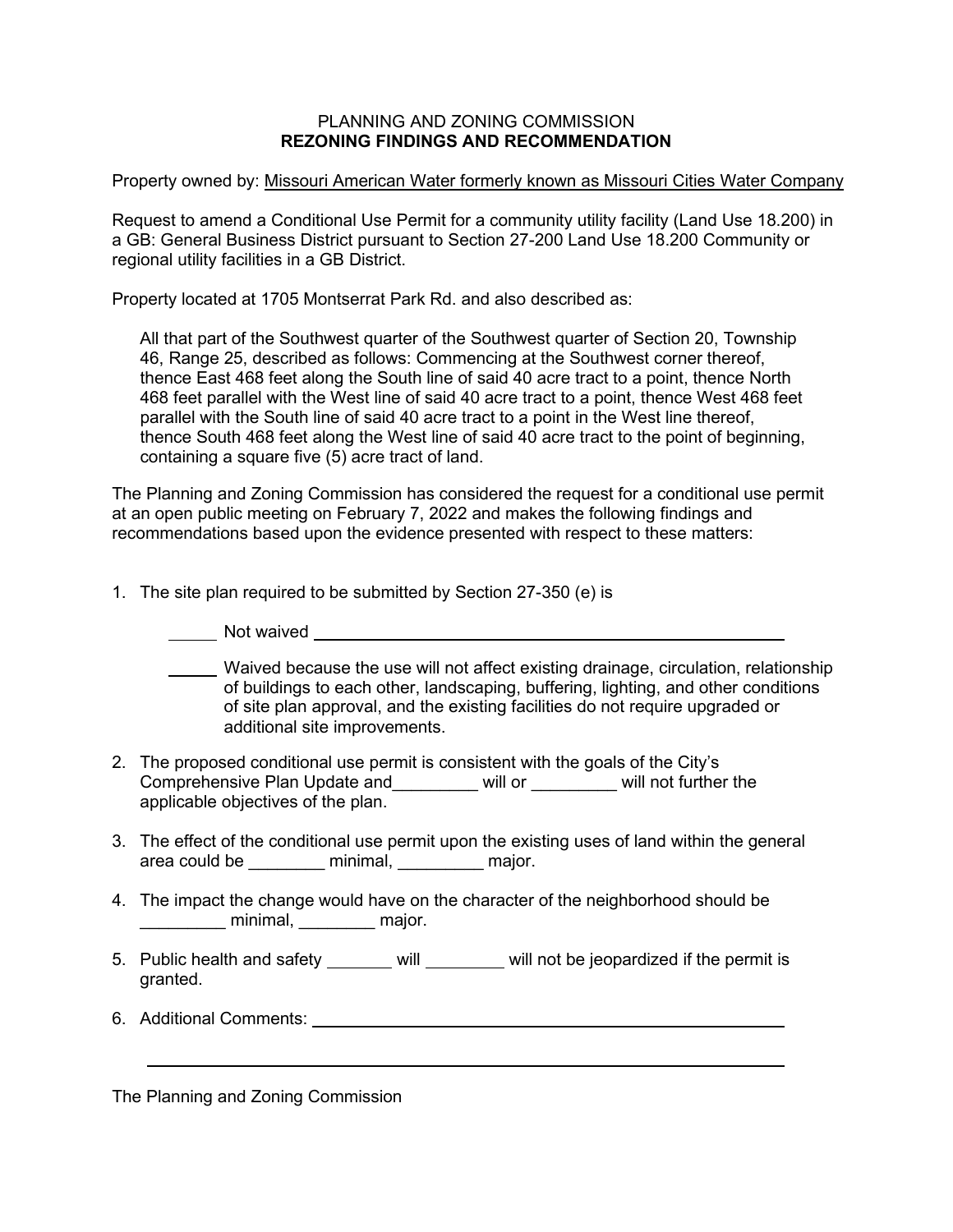## PLANNING AND ZONING COMMISSION **REZONING FINDINGS AND RECOMMENDATION**

Property owned by: Missouri American Water formerly known as Missouri Cities Water Company

Request to amend a Conditional Use Permit for a community utility facility (Land Use 18.200) in a GB: General Business District pursuant to Section 27-200 Land Use 18.200 Community or regional utility facilities in a GB District.

Property located at 1705 Montserrat Park Rd. and also described as:

All that part of the Southwest quarter of the Southwest quarter of Section 20, Township 46, Range 25, described as follows: Commencing at the Southwest corner thereof, thence East 468 feet along the South line of said 40 acre tract to a point, thence North 468 feet parallel with the West line of said 40 acre tract to a point, thence West 468 feet parallel with the South line of said 40 acre tract to a point in the West line thereof, thence South 468 feet along the West line of said 40 acre tract to the point of beginning, containing a square five (5) acre tract of land.

The Planning and Zoning Commission has considered the request for a conditional use permit at an open public meeting on February 7, 2022 and makes the following findings and recommendations based upon the evidence presented with respect to these matters:

1. The site plan required to be submitted by Section 27-350 (e) is

**Not waived** <u>Superintendent and the set of the set of the set of the set of the set of the set of the set of the set of the set of the set of the set of the set of the set of the set of the set of the set of the set of th</u>

Waived because the use will not affect existing drainage, circulation, relationship of buildings to each other, landscaping, buffering, lighting, and other conditions of site plan approval, and the existing facilities do not require upgraded or additional site improvements.

- 2. The proposed conditional use permit is consistent with the goals of the City's Comprehensive Plan Update and\_\_\_\_\_\_\_\_\_ will or \_\_\_\_\_\_\_\_\_ will not further the applicable objectives of the plan.
- 3. The effect of the conditional use permit upon the existing uses of land within the general area could be \_\_\_\_\_\_\_\_ minimal, \_\_\_\_\_\_\_\_\_ major.
- 4. The impact the change would have on the character of the neighborhood should be \_\_\_\_\_\_\_\_\_ minimal, \_\_\_\_\_\_\_\_ major.
- 5. Public health and safety will will will not be jeopardized if the permit is granted.
- 6. Additional Comments:

The Planning and Zoning Commission